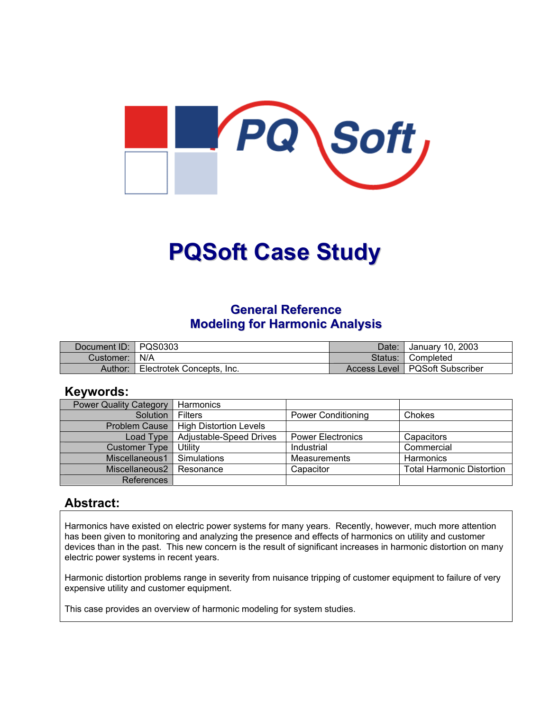

# **PQSoft Case Study**

### **General Reference Modeling for Harmonic Analysis**

| Document ID: PQS0303 |                           | Date: | January 10, 2003                 |
|----------------------|---------------------------|-------|----------------------------------|
| Customer:   N/A      |                           |       | Status: Completed                |
| Author:              | Electrotek Concepts, Inc. |       | Access Level   PQSoft Subscriber |

#### **Keywords:**

| <b>Power Quality Category</b> | Harmonics                     |                           |                                  |
|-------------------------------|-------------------------------|---------------------------|----------------------------------|
| Solution                      | Filters                       | <b>Power Conditioning</b> | Chokes                           |
| <b>Problem Cause</b>          | <b>High Distortion Levels</b> |                           |                                  |
| Load Type                     | Adjustable-Speed Drives       | <b>Power Electronics</b>  | Capacitors                       |
| <b>Customer Type</b>          | Utility                       | Industrial                | Commercial                       |
| Miscellaneous1                | Simulations                   | <b>Measurements</b>       | Harmonics                        |
| Miscellaneous2                | Resonance                     | Capacitor                 | <b>Total Harmonic Distortion</b> |
| References                    |                               |                           |                                  |

### **Abstract:**

Harmonics have existed on electric power systems for many years. Recently, however, much more attention has been given to monitoring and analyzing the presence and effects of harmonics on utility and customer devices than in the past. This new concern is the result of significant increases in harmonic distortion on many electric power systems in recent years.

Harmonic distortion problems range in severity from nuisance tripping of customer equipment to failure of very expensive utility and customer equipment.

This case provides an overview of harmonic modeling for system studies.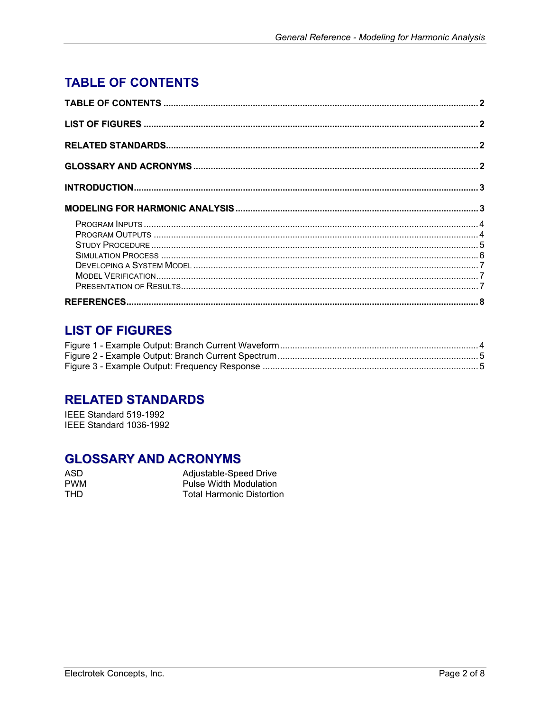# <span id="page-1-0"></span>**TABLE OF CONTENTS**

## **LIST OF FIGURES**

## **RELATED STANDARDS**

IEEE Standard 519-1992 IEEE Standard 1036-1992

## **GLOSSARY AND ACRONYMS**

| ASD.       | Adjustable-Speed Drive           |
|------------|----------------------------------|
| <b>PWM</b> | Pulse Width Modulation           |
| THD.       | <b>Total Harmonic Distortion</b> |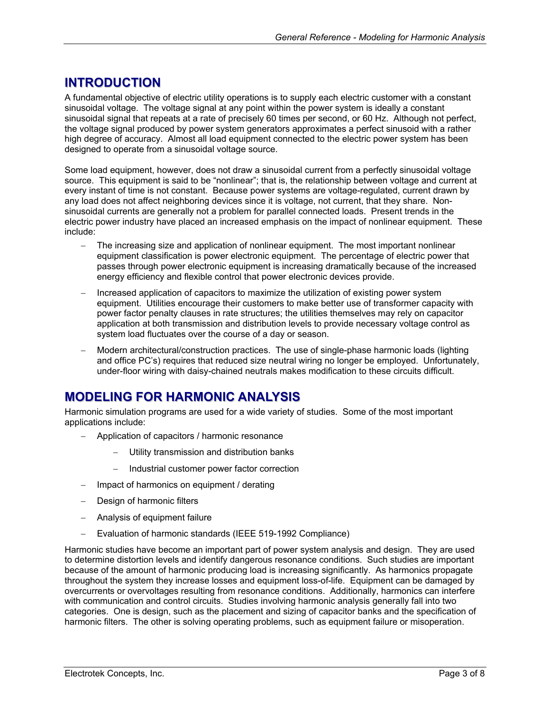## <span id="page-2-0"></span>**INTRODUCTION**

A fundamental objective of electric utility operations is to supply each electric customer with a constant sinusoidal voltage. The voltage signal at any point within the power system is ideally a constant sinusoidal signal that repeats at a rate of precisely 60 times per second, or 60 Hz. Although not perfect, the voltage signal produced by power system generators approximates a perfect sinusoid with a rather high degree of accuracy. Almost all load equipment connected to the electric power system has been designed to operate from a sinusoidal voltage source.

Some load equipment, however, does not draw a sinusoidal current from a perfectly sinusoidal voltage source. This equipment is said to be "nonlinear"; that is, the relationship between voltage and current at every instant of time is not constant. Because power systems are voltage-regulated, current drawn by any load does not affect neighboring devices since it is voltage, not current, that they share. Nonsinusoidal currents are generally not a problem for parallel connected loads. Present trends in the electric power industry have placed an increased emphasis on the impact of nonlinear equipment. These include:

- The increasing size and application of nonlinear equipment. The most important nonlinear equipment classification is power electronic equipment. The percentage of electric power that passes through power electronic equipment is increasing dramatically because of the increased energy efficiency and flexible control that power electronic devices provide.
- − Increased application of capacitors to maximize the utilization of existing power system equipment. Utilities encourage their customers to make better use of transformer capacity with power factor penalty clauses in rate structures; the utilities themselves may rely on capacitor application at both transmission and distribution levels to provide necessary voltage control as system load fluctuates over the course of a day or season.
- − Modern architectural/construction practices. The use of single-phase harmonic loads (lighting and office PC's) requires that reduced size neutral wiring no longer be employed. Unfortunately, under-floor wiring with daisy-chained neutrals makes modification to these circuits difficult.

## **MODELING FOR HARMONIC ANALYSIS**

Harmonic simulation programs are used for a wide variety of studies. Some of the most important applications include:

- − Application of capacitors / harmonic resonance
	- Utility transmission and distribution banks
	- − Industrial customer power factor correction
- − Impact of harmonics on equipment / derating
- − Design of harmonic filters
- − Analysis of equipment failure
- − Evaluation of harmonic standards (IEEE 519-1992 Compliance)

Harmonic studies have become an important part of power system analysis and design. They are used to determine distortion levels and identify dangerous resonance conditions. Such studies are important because of the amount of harmonic producing load is increasing significantly. As harmonics propagate throughout the system they increase losses and equipment loss-of-life. Equipment can be damaged by overcurrents or overvoltages resulting from resonance conditions. Additionally, harmonics can interfere with communication and control circuits. Studies involving harmonic analysis generally fall into two categories. One is design, such as the placement and sizing of capacitor banks and the specification of harmonic filters. The other is solving operating problems, such as equipment failure or misoperation.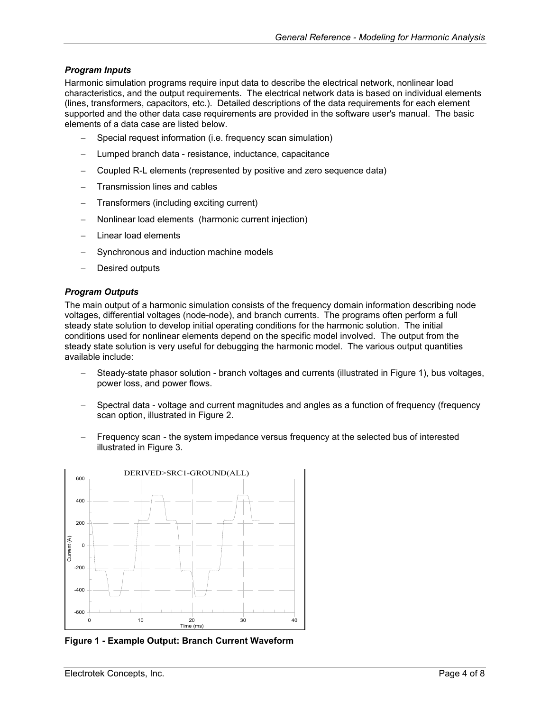#### <span id="page-3-0"></span>*Program Inputs*

Harmonic simulation programs require input data to describe the electrical network, nonlinear load characteristics, and the output requirements. The electrical network data is based on individual elements (lines, transformers, capacitors, etc.). Detailed descriptions of the data requirements for each element supported and the other data case requirements are provided in the software user's manual. The basic elements of a data case are listed below.

- Special request information (i.e. frequency scan simulation)
- Lumped branch data resistance, inductance, capacitance
- − Coupled R-L elements (represented by positive and zero sequence data)
- − Transmission lines and cables
- − Transformers (including exciting current)
- − Nonlinear load elements (harmonic current injection)
- Linear load elements
- Synchronous and induction machine models
- Desired outputs

#### *Program Outputs*

The main output of a harmonic simulation consists of the frequency domain information describing node voltages, differential voltages (node-node), and branch currents. The programs often perform a full steady state solution to develop initial operating conditions for the harmonic solution. The initial conditions used for nonlinear elements depend on the specific model involved. The output from the steady state solution is very useful for debugging the harmonic model. The various output quantities available include:

- − Steady-state phasor solution branch voltages and currents (illustrated in [Figure](#page-3-1) 1), bus voltages, power loss, and power flows.
- Spectral data voltage and current magnitudes and angles as a function of frequency (frequency scan option, illustrated in [Figure](#page-4-1) 2.
- Frequency scan the system impedance versus frequency at the selected bus of interested illustrated in [Figure 3.](#page-4-2)

<span id="page-3-1"></span>

**Figure 1 - Example Output: Branch Current Waveform**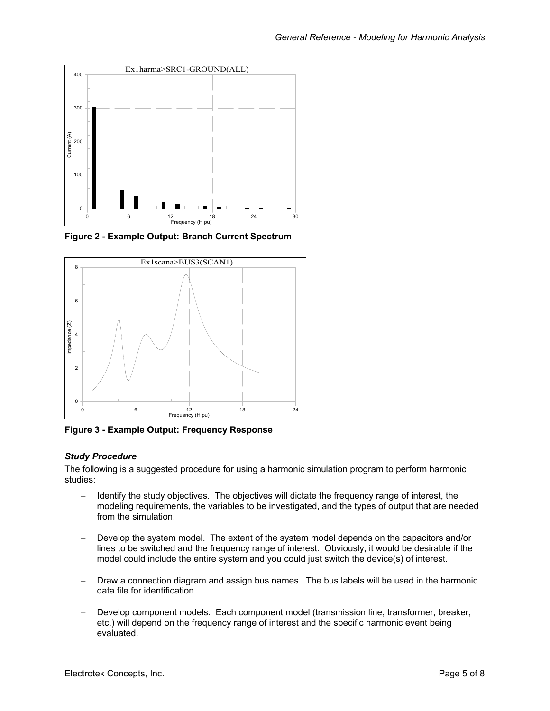<span id="page-4-1"></span><span id="page-4-0"></span>

**Figure 2 - Example Output: Branch Current Spectrum** 

<span id="page-4-2"></span>

**Figure 3 - Example Output: Frequency Response** 

#### *Study Procedure*

The following is a suggested procedure for using a harmonic simulation program to perform harmonic studies:

- Identify the study objectives. The objectives will dictate the frequency range of interest, the modeling requirements, the variables to be investigated, and the types of output that are needed from the simulation.
- Develop the system model. The extent of the system model depends on the capacitors and/or lines to be switched and the frequency range of interest. Obviously, it would be desirable if the model could include the entire system and you could just switch the device(s) of interest.
- Draw a connection diagram and assign bus names. The bus labels will be used in the harmonic data file for identification.
- − Develop component models. Each component model (transmission line, transformer, breaker, etc.) will depend on the frequency range of interest and the specific harmonic event being evaluated.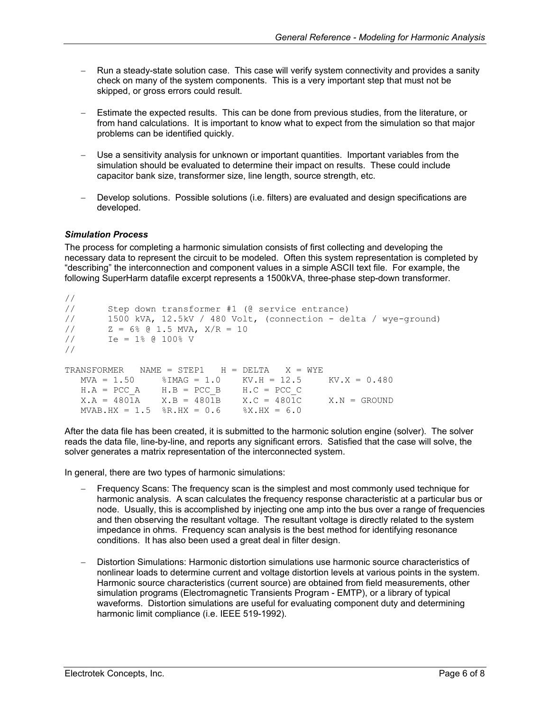- <span id="page-5-0"></span>− Run a steady-state solution case. This case will verify system connectivity and provides a sanity check on many of the system components. This is a very important step that must not be skipped, or gross errors could result.
- Estimate the expected results. This can be done from previous studies, from the literature, or from hand calculations. It is important to know what to expect from the simulation so that major problems can be identified quickly.
- − Use a sensitivity analysis for unknown or important quantities. Important variables from the simulation should be evaluated to determine their impact on results. These could include capacitor bank size, transformer size, line length, source strength, etc.
- − Develop solutions. Possible solutions (i.e. filters) are evaluated and design specifications are developed.

#### *Simulation Process*

The process for completing a harmonic simulation consists of first collecting and developing the necessary data to represent the circuit to be modeled. Often this system representation is completed by "describing" the interconnection and component values in a simple ASCII text file. For example, the following SuperHarm datafile excerpt represents a 1500kVA, three-phase step-down transformer.

```
// 
// Step down transformer #1 (@ service entrance) 
// 1500 kVA, 12.5kV / 480 Volt, (connection - delta / wye-ground) 
1/ Z = 6% @ 1.5 MVA, X/R = 10
1/ Ie = 1% @ 100% V
// 
TRANSFORMER NAME = STEP1 H = DELTA X = WYE MVA = 1.50 %IMAG = 1.0 KV.H = 12.5 KV.X = 0.480 
  H.A = PCC A H.B = PCC B H.C = PCC CX.A = 480\overline{1}A X.B = 480\overline{1}B X.C = 480\overline{1}C X.N = GROUNDMVAB.HX = 1.5 R.HX = 0.6 RX.HX = 6.0
```
After the data file has been created, it is submitted to the harmonic solution engine (solver). The solver reads the data file, line-by-line, and reports any significant errors. Satisfied that the case will solve, the solver generates a matrix representation of the interconnected system.

In general, there are two types of harmonic simulations:

- Frequency Scans: The frequency scan is the simplest and most commonly used technique for harmonic analysis. A scan calculates the frequency response characteristic at a particular bus or node. Usually, this is accomplished by injecting one amp into the bus over a range of frequencies and then observing the resultant voltage. The resultant voltage is directly related to the system impedance in ohms. Frequency scan analysis is the best method for identifying resonance conditions. It has also been used a great deal in filter design.
- − Distortion Simulations: Harmonic distortion simulations use harmonic source characteristics of nonlinear loads to determine current and voltage distortion levels at various points in the system. Harmonic source characteristics (current source) are obtained from field measurements, other simulation programs (Electromagnetic Transients Program - EMTP), or a library of typical waveforms. Distortion simulations are useful for evaluating component duty and determining harmonic limit compliance (i.e. IEEE 519-1992).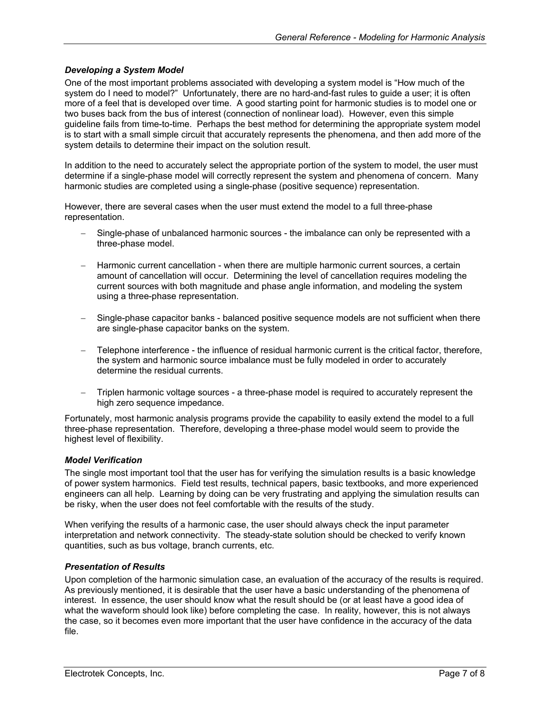#### <span id="page-6-0"></span>*Developing a System Model*

One of the most important problems associated with developing a system model is "How much of the system do I need to model?" Unfortunately, there are no hard-and-fast rules to guide a user; it is often more of a feel that is developed over time. A good starting point for harmonic studies is to model one or two buses back from the bus of interest (connection of nonlinear load). However, even this simple guideline fails from time-to-time. Perhaps the best method for determining the appropriate system model is to start with a small simple circuit that accurately represents the phenomena, and then add more of the system details to determine their impact on the solution result.

In addition to the need to accurately select the appropriate portion of the system to model, the user must determine if a single-phase model will correctly represent the system and phenomena of concern. Many harmonic studies are completed using a single-phase (positive sequence) representation.

However, there are several cases when the user must extend the model to a full three-phase representation.

- − Single-phase of unbalanced harmonic sources the imbalance can only be represented with a three-phase model.
- − Harmonic current cancellation when there are multiple harmonic current sources, a certain amount of cancellation will occur. Determining the level of cancellation requires modeling the current sources with both magnitude and phase angle information, and modeling the system using a three-phase representation.
- − Single-phase capacitor banks balanced positive sequence models are not sufficient when there are single-phase capacitor banks on the system.
- − Telephone interference the influence of residual harmonic current is the critical factor, therefore, the system and harmonic source imbalance must be fully modeled in order to accurately determine the residual currents.
- − Triplen harmonic voltage sources a three-phase model is required to accurately represent the high zero sequence impedance.

Fortunately, most harmonic analysis programs provide the capability to easily extend the model to a full three-phase representation. Therefore, developing a three-phase model would seem to provide the highest level of flexibility.

#### *Model Verification*

The single most important tool that the user has for verifying the simulation results is a basic knowledge of power system harmonics. Field test results, technical papers, basic textbooks, and more experienced engineers can all help. Learning by doing can be very frustrating and applying the simulation results can be risky, when the user does not feel comfortable with the results of the study.

When verifying the results of a harmonic case, the user should always check the input parameter interpretation and network connectivity. The steady-state solution should be checked to verify known quantities, such as bus voltage, branch currents, etc.

#### *Presentation of Results*

Upon completion of the harmonic simulation case, an evaluation of the accuracy of the results is required. As previously mentioned, it is desirable that the user have a basic understanding of the phenomena of interest. In essence, the user should know what the result should be (or at least have a good idea of what the waveform should look like) before completing the case. In reality, however, this is not always the case, so it becomes even more important that the user have confidence in the accuracy of the data file.